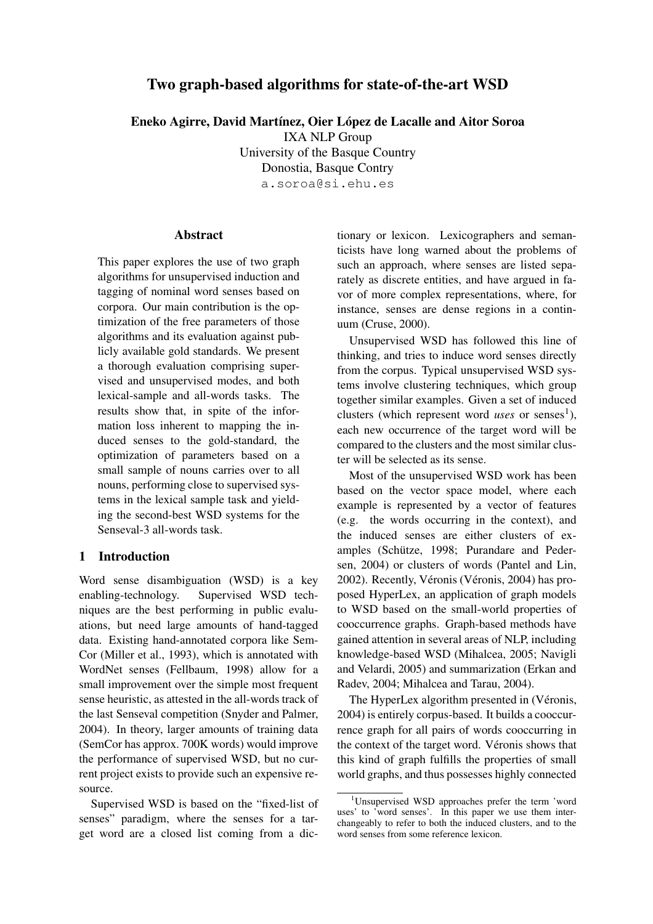# **Two graph-based algorithms for state-of-the-art WSD**

**Eneko Agirre, David Mart´ınez, Oier Lopez ´ de Lacalle and Aitor Soroa**

IXA NLP Group

University of the Basque Country Donostia, Basque Contry a.soroa@si.ehu.es

## **Abstract**

This paper explores the use of two graph algorithms for unsupervised induction and tagging of nominal word senses based on corpora. Our main contribution is the optimization of the free parameters of those algorithms and its evaluation against publicly available gold standards. We present a thorough evaluation comprising supervised and unsupervised modes, and both lexical-sample and all-words tasks. The results show that, in spite of the information loss inherent to mapping the induced senses to the gold-standard, the optimization of parameters based on a small sample of nouns carries over to all nouns, performing close to supervised systems in the lexical sample task and yielding the second-best WSD systems for the Senseval-3 all-words task.

## **1 Introduction**

Word sense disambiguation (WSD) is a key enabling-technology. Supervised WSD techniques are the best performing in public evaluations, but need large amounts of hand-tagged data. Existing hand-annotated corpora like Sem-Cor (Miller et al., 1993), which is annotated with WordNet senses (Fellbaum, 1998) allow for a small improvement over the simple most frequent sense heuristic, as attested in the all-words track of the last Senseval competition (Snyder and Palmer, 2004). In theory, larger amounts of training data (SemCor has approx. 700K words) would improve the performance of supervised WSD, but no current project exists to provide such an expensive resource.

Supervised WSD is based on the "fixed-list of senses" paradigm, where the senses for a target word are a closed list coming from a dictionary or lexicon. Lexicographers and semanticists have long warned about the problems of such an approach, where senses are listed separately as discrete entities, and have argued in favor of more complex representations, where, for instance, senses are dense regions in a continuum (Cruse, 2000).

Unsupervised WSD has followed this line of thinking, and tries to induce word senses directly from the corpus. Typical unsupervised WSD systems involve clustering techniques, which group together similar examples. Given a set of induced clusters (which represent word *uses* or senses<sup>1</sup>), each new occurrence of the target word will be compared to the clusters and the most similar cluster will be selected as its sense.

Most of the unsupervised WSD work has been based on the vector space model, where each example is represented by a vector of features (e.g. the words occurring in the context), and the induced senses are either clusters of examples (Schütze, 1998; Purandare and Pedersen, 2004) or clusters of words (Pantel and Lin, 2002). Recently, Véronis (Véronis, 2004) has proposed HyperLex, an application of graph models to WSD based on the small-world properties of cooccurrence graphs. Graph-based methods have gained attention in several areas of NLP, including knowledge-based WSD (Mihalcea, 2005; Navigli and Velardi, 2005) and summarization (Erkan and Radev, 2004; Mihalcea and Tarau, 2004).

The HyperLex algorithm presented in (Véronis, 2004) is entirely corpus-based. It builds a cooccurrence graph for all pairs of words cooccurring in the context of the target word. Véronis shows that this kind of graph fulfills the properties of small world graphs, and thus possesses highly connected

<sup>1</sup>Unsupervised WSD approaches prefer the term 'word uses' to 'word senses'. In this paper we use them interchangeably to refer to both the induced clusters, and to the word senses from some reference lexicon.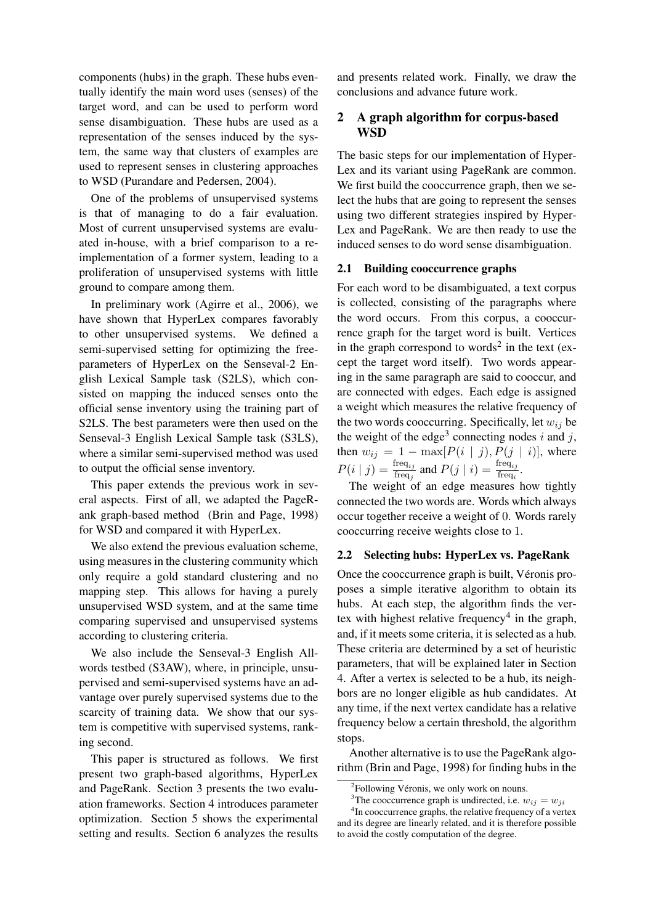components (hubs) in the graph. These hubs eventually identify the main word uses (senses) of the target word, and can be used to perform word sense disambiguation. These hubs are used as a representation of the senses induced by the system, the same way that clusters of examples are used to represent senses in clustering approaches to WSD (Purandare and Pedersen, 2004).

One of the problems of unsupervised systems is that of managing to do a fair evaluation. Most of current unsupervised systems are evaluated in-house, with a brief comparison to a reimplementation of a former system, leading to a proliferation of unsupervised systems with little ground to compare among them.

In preliminary work (Agirre et al., 2006), we have shown that HyperLex compares favorably to other unsupervised systems. We defined a semi-supervised setting for optimizing the freeparameters of HyperLex on the Senseval-2 English Lexical Sample task (S2LS), which consisted on mapping the induced senses onto the official sense inventory using the training part of S2LS. The best parameters were then used on the Senseval-3 English Lexical Sample task (S3LS), where a similar semi-supervised method was used to output the official sense inventory.

This paper extends the previous work in several aspects. First of all, we adapted the PageRank graph-based method (Brin and Page, 1998) for WSD and compared it with HyperLex.

We also extend the previous evaluation scheme, using measures in the clustering community which only require a gold standard clustering and no mapping step. This allows for having a purely unsupervised WSD system, and at the same time comparing supervised and unsupervised systems according to clustering criteria.

We also include the Senseval-3 English Allwords testbed (S3AW), where, in principle, unsupervised and semi-supervised systems have an advantage over purely supervised systems due to the scarcity of training data. We show that our system is competitive with supervised systems, ranking second.

This paper is structured as follows. We first present two graph-based algorithms, HyperLex and PageRank. Section 3 presents the two evaluation frameworks. Section 4 introduces parameter optimization. Section 5 shows the experimental setting and results. Section 6 analyzes the results

and presents related work. Finally, we draw the conclusions and advance future work.

## **2 A graph algorithm for corpus-based WSD**

The basic steps for our implementation of Hyper-Lex and its variant using PageRank are common. We first build the cooccurrence graph, then we select the hubs that are going to represent the senses using two different strategies inspired by Hyper-Lex and PageRank. We are then ready to use the induced senses to do word sense disambiguation.

## **2.1 Building cooccurrence graphs**

For each word to be disambiguated, a text corpus is collected, consisting of the paragraphs where the word occurs. From this corpus, a cooccurrence graph for the target word is built. Vertices in the graph correspond to words<sup>2</sup> in the text (except the target word itself). Two words appearing in the same paragraph are said to cooccur, and are connected with edges. Each edge is assigned a weight which measures the relative frequency of the two words cooccurring. Specifically, let  $w_{ij}$  be the weight of the edge<sup>3</sup> connecting nodes i and j, then  $w_{ij} = 1 - \max[P(i | j), P(j | i)]$ , where  $P(i | j) = \frac{\text{freq}_{ij}}{\text{freq}}$  $f_{\text{freq}_j}^{\text{freq}_{ij}}$  and  $P(j \mid i) = \frac{\text{freq}_{ij}}{\text{freq}_i}$  $\frac{\text{req}_{ij}}{\text{freq}_{i}}$ .

The weight of an edge measures how tightly connected the two words are. Words which always occur together receive a weight of 0. Words rarely cooccurring receive weights close to 1.

#### **2.2 Selecting hubs: HyperLex vs. PageRank**

Once the cooccurrence graph is built, Véronis proposes a simple iterative algorithm to obtain its hubs. At each step, the algorithm finds the vertex with highest relative frequency 4 in the graph, and, if it meets some criteria, it is selected as a hub. These criteria are determined by a set of heuristic parameters, that will be explained later in Section 4. After a vertex is selected to be a hub, its neighbors are no longer eligible as hub candidates. At any time, if the next vertex candidate has a relative frequency below a certain threshold, the algorithm stops.

Another alternative is to use the PageRank algorithm (Brin and Page, 1998) for finding hubs in the

<sup>&</sup>lt;sup>2</sup>Following Véronis, we only work on nouns.

<sup>&</sup>lt;sup>3</sup>The cooccurrence graph is undirected, i.e.  $w_{ij} = w_{ji}$ 

<sup>&</sup>lt;sup>4</sup>In cooccurrence graphs, the relative frequency of a vertex and its degree are linearly related, and it is therefore possible to avoid the costly computation of the degree.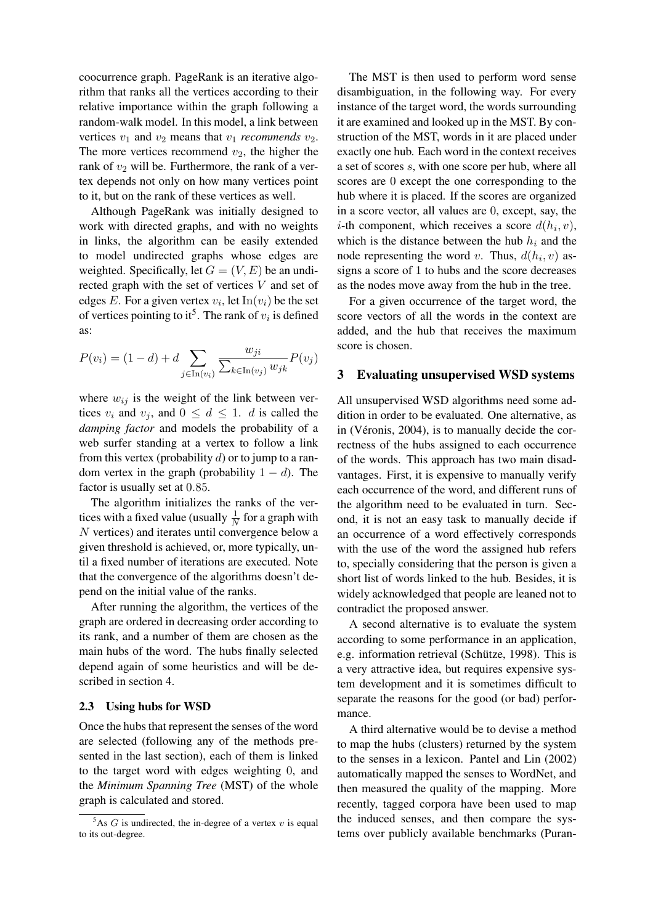coocurrence graph. PageRank is an iterative algorithm that ranks all the vertices according to their relative importance within the graph following a random-walk model. In this model, a link between vertices  $v_1$  and  $v_2$  means that  $v_1$  *recommends*  $v_2$ . The more vertices recommend  $v_2$ , the higher the rank of  $v_2$  will be. Furthermore, the rank of a vertex depends not only on how many vertices point to it, but on the rank of these vertices as well.

Although PageRank was initially designed to work with directed graphs, and with no weights in links, the algorithm can be easily extended to model undirected graphs whose edges are weighted. Specifically, let  $G = (V, E)$  be an undirected graph with the set of vertices V and set of edges E. For a given vertex  $v_i$ , let  $\text{In}(v_i)$  be the set of vertices pointing to it<sup>5</sup>. The rank of  $v_i$  is defined as:

$$
P(v_i) = (1 - d) + d \sum_{j \in \text{In}(v_i)} \frac{w_{ji}}{\sum_{k \in \text{In}(v_j)} w_{jk}} P(v_j)
$$

where  $w_{ij}$  is the weight of the link between vertices  $v_i$  and  $v_j$ , and  $0 \leq d \leq 1$ . *d* is called the *damping factor* and models the probability of a web surfer standing at a vertex to follow a link from this vertex (probability  $d$ ) or to jump to a random vertex in the graph (probability  $1 - d$ ). The factor is usually set at 0.85.

The algorithm initializes the ranks of the vertices with a fixed value (usually  $\frac{1}{N}$  for a graph with N vertices) and iterates until convergence below a given threshold is achieved, or, more typically, until a fixed number of iterations are executed. Note that the convergence of the algorithms doesn't depend on the initial value of the ranks.

After running the algorithm, the vertices of the graph are ordered in decreasing order according to its rank, and a number of them are chosen as the main hubs of the word. The hubs finally selected depend again of some heuristics and will be described in section 4.

#### **2.3 Using hubs for WSD**

Once the hubs that represent the senses of the word are selected (following any of the methods presented in the last section), each of them is linked to the target word with edges weighting 0, and the *Minimum Spanning Tree* (MST) of the whole graph is calculated and stored.

The MST is then used to perform word sense disambiguation, in the following way. For every instance of the target word, the words surrounding it are examined and looked up in the MST. By construction of the MST, words in it are placed under exactly one hub. Each word in the context receives a set of scores s, with one score per hub, where all scores are 0 except the one corresponding to the hub where it is placed. If the scores are organized in a score vector, all values are 0, except, say, the *i*-th component, which receives a score  $d(h_i, v)$ , which is the distance between the hub  $h_i$  and the node representing the word v. Thus,  $d(h_i, v)$  assigns a score of 1 to hubs and the score decreases as the nodes move away from the hub in the tree.

For a given occurrence of the target word, the score vectors of all the words in the context are added, and the hub that receives the maximum score is chosen.

#### **3 Evaluating unsupervised WSD systems**

All unsupervised WSD algorithms need some addition in order to be evaluated. One alternative, as in (Véronis,  $2004$ ), is to manually decide the correctness of the hubs assigned to each occurrence of the words. This approach has two main disadvantages. First, it is expensive to manually verify each occurrence of the word, and different runs of the algorithm need to be evaluated in turn. Second, it is not an easy task to manually decide if an occurrence of a word effectively corresponds with the use of the word the assigned hub refers to, specially considering that the person is given a short list of words linked to the hub. Besides, it is widely acknowledged that people are leaned not to contradict the proposed answer.

A second alternative is to evaluate the system according to some performance in an application, e.g. information retrieval (Schütze, 1998). This is a very attractive idea, but requires expensive system development and it is sometimes difficult to separate the reasons for the good (or bad) performance.

A third alternative would be to devise a method to map the hubs (clusters) returned by the system to the senses in a lexicon. Pantel and Lin (2002) automatically mapped the senses to WordNet, and then measured the quality of the mapping. More recently, tagged corpora have been used to map the induced senses, and then compare the systems over publicly available benchmarks (Puran-

 $5$ As G is undirected, the in-degree of a vertex v is equal to its out-degree.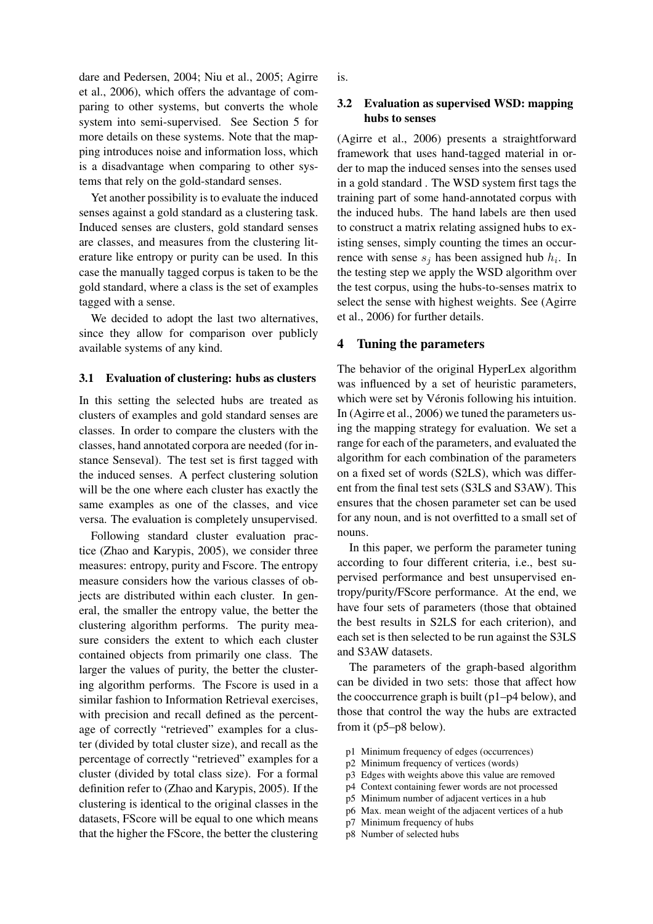dare and Pedersen, 2004; Niu et al., 2005; Agirre et al., 2006), which offers the advantage of comparing to other systems, but converts the whole system into semi-supervised. See Section 5 for more details on these systems. Note that the mapping introduces noise and information loss, which is a disadvantage when comparing to other systems that rely on the gold-standard senses.

Yet another possibility is to evaluate the induced senses against a gold standard as a clustering task. Induced senses are clusters, gold standard senses are classes, and measures from the clustering literature like entropy or purity can be used. In this case the manually tagged corpus is taken to be the gold standard, where a class is the set of examples tagged with a sense.

We decided to adopt the last two alternatives, since they allow for comparison over publicly available systems of any kind.

#### **3.1 Evaluation of clustering: hubs as clusters**

In this setting the selected hubs are treated as clusters of examples and gold standard senses are classes. In order to compare the clusters with the classes, hand annotated corpora are needed (for instance Senseval). The test set is first tagged with the induced senses. A perfect clustering solution will be the one where each cluster has exactly the same examples as one of the classes, and vice versa. The evaluation is completely unsupervised.

Following standard cluster evaluation practice (Zhao and Karypis, 2005), we consider three measures: entropy, purity and Fscore. The entropy measure considers how the various classes of objects are distributed within each cluster. In general, the smaller the entropy value, the better the clustering algorithm performs. The purity measure considers the extent to which each cluster contained objects from primarily one class. The larger the values of purity, the better the clustering algorithm performs. The Fscore is used in a similar fashion to Information Retrieval exercises, with precision and recall defined as the percentage of correctly "retrieved" examples for a cluster (divided by total cluster size), and recall as the percentage of correctly "retrieved" examples for a cluster (divided by total class size). For a formal definition refer to (Zhao and Karypis, 2005). If the clustering is identical to the original classes in the datasets, FScore will be equal to one which means that the higher the FScore, the better the clustering is.

## **3.2 Evaluation as supervised WSD: mapping hubs to senses**

(Agirre et al., 2006) presents a straightforward framework that uses hand-tagged material in order to map the induced senses into the senses used in a gold standard . The WSD system first tags the training part of some hand-annotated corpus with the induced hubs. The hand labels are then used to construct a matrix relating assigned hubs to existing senses, simply counting the times an occurrence with sense  $s_j$  has been assigned hub  $h_i$ . In the testing step we apply the WSD algorithm over the test corpus, using the hubs-to-senses matrix to select the sense with highest weights. See (Agirre et al., 2006) for further details.

#### **4 Tuning the parameters**

The behavior of the original HyperLex algorithm was influenced by a set of heuristic parameters, which were set by Véronis following his intuition. In (Agirre et al., 2006) we tuned the parameters using the mapping strategy for evaluation. We set a range for each of the parameters, and evaluated the algorithm for each combination of the parameters on a fixed set of words (S2LS), which was different from the final test sets (S3LS and S3AW). This ensures that the chosen parameter set can be used for any noun, and is not overfitted to a small set of nouns.

In this paper, we perform the parameter tuning according to four different criteria, i.e., best supervised performance and best unsupervised entropy/purity/FScore performance. At the end, we have four sets of parameters (those that obtained the best results in S2LS for each criterion), and each set is then selected to be run against the S3LS and S3AW datasets.

The parameters of the graph-based algorithm can be divided in two sets: those that affect how the cooccurrence graph is built (p1–p4 below), and those that control the way the hubs are extracted from it (p5–p8 below).

- p1 Minimum frequency of edges (occurrences)
- p2 Minimum frequency of vertices (words)
- p3 Edges with weights above this value are removed
- p4 Context containing fewer words are not processed
- p5 Minimum number of adjacent vertices in a hub
- p6 Max. mean weight of the adjacent vertices of a hub
- p7 Minimum frequency of hubs
- p8 Number of selected hubs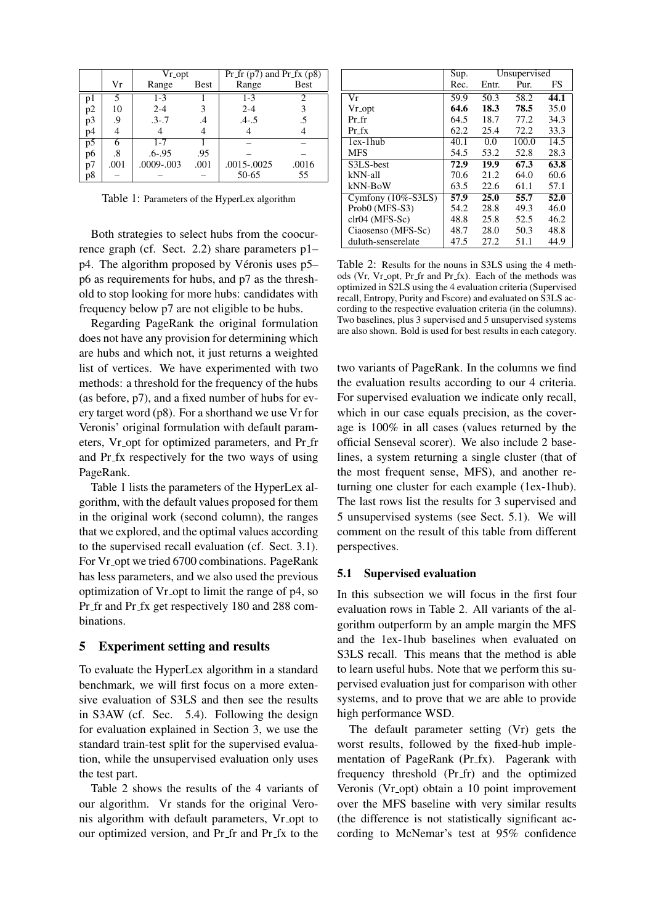|    |      | Vr opt     |             | Pr fr $(p7)$ and Pr fx $(p8)$ |             |  |
|----|------|------------|-------------|-------------------------------|-------------|--|
|    | Vr   | Range      | <b>Best</b> | Range                         | <b>Best</b> |  |
| pl |      | $1 - 3$    |             | $1 - 3$                       |             |  |
| p2 | 10   | $2 - 4$    | 3           | $2 - 4$                       |             |  |
| p3 | 9.   | $.3 - .7$  | .4          | $.4 - .5$                     | .5          |  |
| p4 |      |            |             |                               |             |  |
| p5 |      | $1 - 7$    |             |                               |             |  |
| p6 | .8   | $.6 - .95$ | .95         |                               |             |  |
| p7 | .001 | .0009-.003 | .001        | .0015-.0025                   | .0016       |  |
| p8 |      |            |             | 50-65                         | 55          |  |

Table 1: Parameters of the HyperLex algorithm

Both strategies to select hubs from the coocurrence graph (cf. Sect. 2.2) share parameters p1–  $p4$ . The algorithm proposed by Véronis uses  $p5$ – p6 as requirements for hubs, and p7 as the threshold to stop looking for more hubs: candidates with frequency below p7 are not eligible to be hubs.

Regarding PageRank the original formulation does not have any provision for determining which are hubs and which not, it just returns a weighted list of vertices. We have experimented with two methods: a threshold for the frequency of the hubs (as before, p7), and a fixed number of hubs for every target word (p8). For a shorthand we use Vr for Veronis' original formulation with default parameters, Vr opt for optimized parameters, and Pr fr and Pr fx respectively for the two ways of using PageRank.

Table 1 lists the parameters of the HyperLex algorithm, with the default values proposed for them in the original work (second column), the ranges that we explored, and the optimal values according to the supervised recall evaluation (cf. Sect. 3.1). For Vr\_opt we tried 6700 combinations. PageRank has less parameters, and we also used the previous optimization of Vr opt to limit the range of p4, so Pr fr and Pr fx get respectively 180 and 288 combinations.

#### **5 Experiment setting and results**

To evaluate the HyperLex algorithm in a standard benchmark, we will first focus on a more extensive evaluation of S3LS and then see the results in S3AW (cf. Sec. 5.4). Following the design for evaluation explained in Section 3, we use the standard train-test split for the supervised evaluation, while the unsupervised evaluation only uses the test part.

Table 2 shows the results of the 4 variants of our algorithm. Vr stands for the original Veronis algorithm with default parameters, Vr opt to our optimized version, and Pr fr and Pr fx to the

|                         | Sup. |       | Unsupervised |      |  |
|-------------------------|------|-------|--------------|------|--|
|                         | Rec. | Entr. | Pur.         | FS   |  |
| Vr                      | 59.9 | 50.3  | 58.2         | 44.1 |  |
| Vr opt                  | 64.6 | 18.3  | 78.5         | 35.0 |  |
| $Pr_f$                  | 64.5 | 18.7  | 77.2         | 34.3 |  |
| $Pr_f x$                | 62.2 | 25.4  | 72.2         | 33.3 |  |
| $lex-1$ hub             | 40.1 | 0.0   | 100.0        | 14.5 |  |
| <b>MFS</b>              | 54.5 | 53.2  | 52.8         | 28.3 |  |
| S3LS-best               | 72.9 | 19.9  | 67.3         | 63.8 |  |
| kNN-all                 | 70.6 | 21.2  | 64.0         | 60.6 |  |
| kNN-BoW                 | 63.5 | 22.6  | 61.1         | 57.1 |  |
| Cymfony $(10\% - S3LS)$ | 57.9 | 25.0  | 55.7         | 52.0 |  |
| Prob0 (MFS-S3)          | 54.2 | 28.8  | 49.3         | 46.0 |  |
| $chr04$ (MFS-Sc)        | 48.8 | 25.8  | 52.5         | 46.2 |  |
| Ciaosenso (MFS-Sc)      | 48.7 | 28.0  | 50.3         | 48.8 |  |
| duluth-senserelate      | 47.5 | 27.2  | 51.1         | 44.9 |  |

Table 2: Results for the nouns in S3LS using the 4 methods (Vr, Vr opt, Pr fr and Pr fx). Each of the methods was optimized in S2LS using the 4 evaluation criteria (Supervised recall, Entropy, Purity and Fscore) and evaluated on S3LS according to the respective evaluation criteria (in the columns). Two baselines, plus 3 supervised and 5 unsupervised systems are also shown. Bold is used for best results in each category.

two variants of PageRank. In the columns we find the evaluation results according to our 4 criteria. For supervised evaluation we indicate only recall, which in our case equals precision, as the coverage is 100% in all cases (values returned by the official Senseval scorer). We also include 2 baselines, a system returning a single cluster (that of the most frequent sense, MFS), and another returning one cluster for each example (1ex-1hub). The last rows list the results for 3 supervised and 5 unsupervised systems (see Sect. 5.1). We will comment on the result of this table from different perspectives.

### **5.1 Supervised evaluation**

In this subsection we will focus in the first four evaluation rows in Table 2. All variants of the algorithm outperform by an ample margin the MFS and the 1ex-1hub baselines when evaluated on S3LS recall. This means that the method is able to learn useful hubs. Note that we perform this supervised evaluation just for comparison with other systems, and to prove that we are able to provide high performance WSD.

The default parameter setting (Vr) gets the worst results, followed by the fixed-hub implementation of PageRank (Pr\_fx). Pagerank with frequency threshold (Pr fr) and the optimized Veronis (Vr opt) obtain a 10 point improvement over the MFS baseline with very similar results (the difference is not statistically significant according to McNemar's test at 95% confidence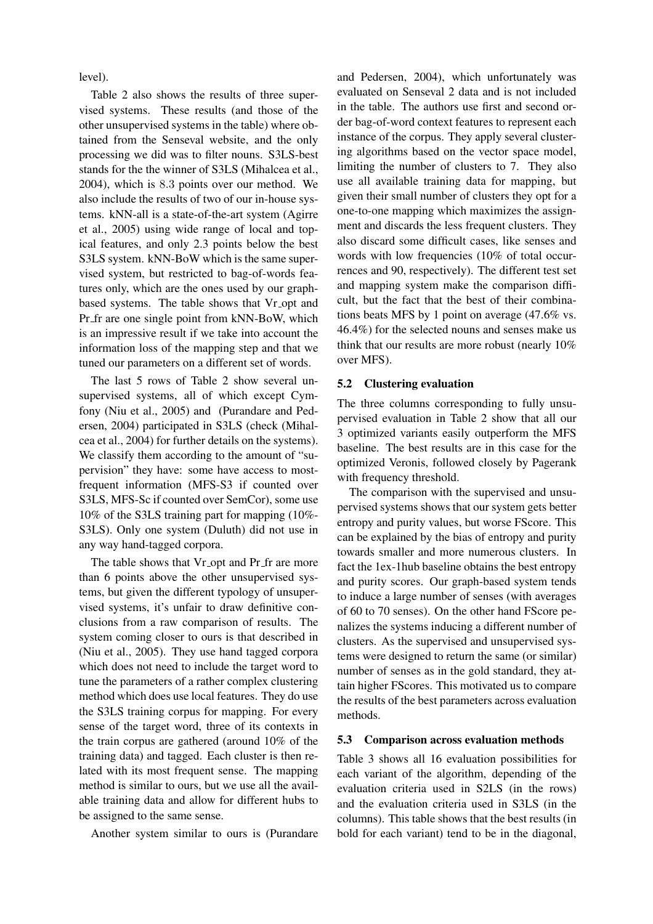level).

Table 2 also shows the results of three supervised systems. These results (and those of the other unsupervised systems in the table) where obtained from the Senseval website, and the only processing we did was to filter nouns. S3LS-best stands for the the winner of S3LS (Mihalcea et al., 2004), which is 8.3 points over our method. We also include the results of two of our in-house systems. kNN-all is a state-of-the-art system (Agirre et al., 2005) using wide range of local and topical features, and only 2.3 points below the best S3LS system. kNN-BoW which is the same supervised system, but restricted to bag-of-words features only, which are the ones used by our graphbased systems. The table shows that Vr opt and Pr fr are one single point from kNN-BoW, which is an impressive result if we take into account the information loss of the mapping step and that we tuned our parameters on a different set of words.

The last 5 rows of Table 2 show several unsupervised systems, all of which except Cymfony (Niu et al., 2005) and (Purandare and Pedersen, 2004) participated in S3LS (check (Mihalcea et al., 2004) for further details on the systems). We classify them according to the amount of "supervision" they have: some have access to mostfrequent information (MFS-S3 if counted over S3LS, MFS-Sc if counted over SemCor), some use 10% of the S3LS training part for mapping (10%- S3LS). Only one system (Duluth) did not use in any way hand-tagged corpora.

The table shows that Vr opt and Pr fr are more than 6 points above the other unsupervised systems, but given the different typology of unsupervised systems, it's unfair to draw definitive conclusions from a raw comparison of results. The system coming closer to ours is that described in (Niu et al., 2005). They use hand tagged corpora which does not need to include the target word to tune the parameters of a rather complex clustering method which does use local features. They do use the S3LS training corpus for mapping. For every sense of the target word, three of its contexts in the train corpus are gathered (around 10% of the training data) and tagged. Each cluster is then related with its most frequent sense. The mapping method is similar to ours, but we use all the available training data and allow for different hubs to be assigned to the same sense.

Another system similar to ours is (Purandare

and Pedersen, 2004), which unfortunately was evaluated on Senseval 2 data and is not included in the table. The authors use first and second order bag-of-word context features to represent each instance of the corpus. They apply several clustering algorithms based on the vector space model, limiting the number of clusters to 7. They also use all available training data for mapping, but given their small number of clusters they opt for a one-to-one mapping which maximizes the assignment and discards the less frequent clusters. They also discard some difficult cases, like senses and words with low frequencies (10% of total occurrences and 90, respectively). The different test set and mapping system make the comparison difficult, but the fact that the best of their combinations beats MFS by 1 point on average (47.6% vs. 46.4%) for the selected nouns and senses make us think that our results are more robust (nearly 10% over MFS).

#### **5.2 Clustering evaluation**

The three columns corresponding to fully unsupervised evaluation in Table 2 show that all our 3 optimized variants easily outperform the MFS baseline. The best results are in this case for the optimized Veronis, followed closely by Pagerank with frequency threshold.

The comparison with the supervised and unsupervised systems shows that our system gets better entropy and purity values, but worse FScore. This can be explained by the bias of entropy and purity towards smaller and more numerous clusters. In fact the 1ex-1hub baseline obtains the best entropy and purity scores. Our graph-based system tends to induce a large number of senses (with averages of 60 to 70 senses). On the other hand FScore penalizes the systems inducing a different number of clusters. As the supervised and unsupervised systems were designed to return the same (or similar) number of senses as in the gold standard, they attain higher FScores. This motivated us to compare the results of the best parameters across evaluation methods.

#### **5.3 Comparison across evaluation methods**

Table 3 shows all 16 evaluation possibilities for each variant of the algorithm, depending of the evaluation criteria used in S2LS (in the rows) and the evaluation criteria used in S3LS (in the columns). This table shows that the best results (in bold for each variant) tend to be in the diagonal,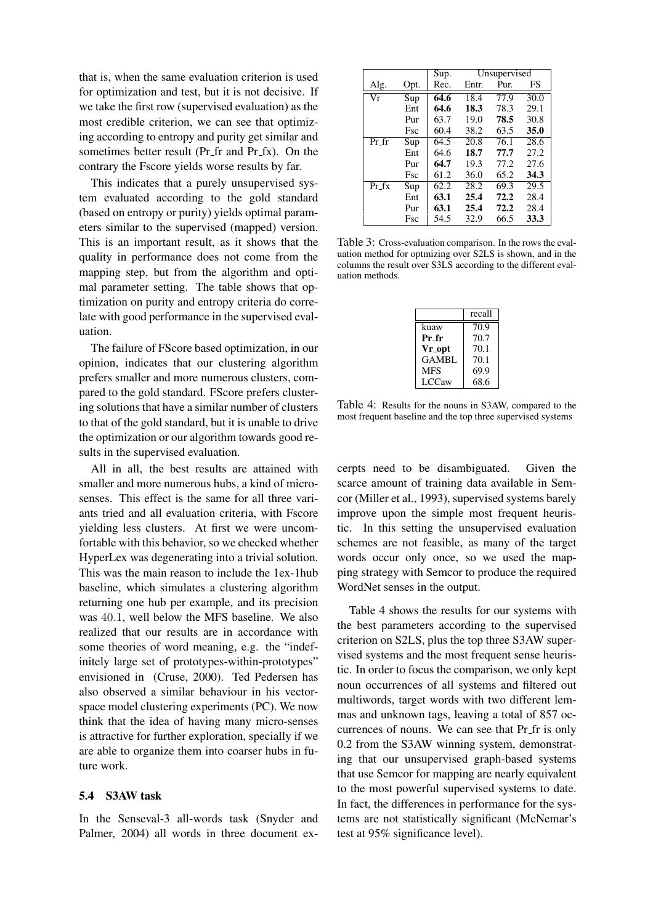that is, when the same evaluation criterion is used for optimization and test, but it is not decisive. If we take the first row (supervised evaluation) as the most credible criterion, we can see that optimizing according to entropy and purity get similar and sometimes better result (Pr\_fr and Pr\_fx). On the contrary the Fscore yields worse results by far.

This indicates that a purely unsupervised system evaluated according to the gold standard (based on entropy or purity) yields optimal parameters similar to the supervised (mapped) version. This is an important result, as it shows that the quality in performance does not come from the mapping step, but from the algorithm and optimal parameter setting. The table shows that optimization on purity and entropy criteria do correlate with good performance in the supervised evaluation.

The failure of FScore based optimization, in our opinion, indicates that our clustering algorithm prefers smaller and more numerous clusters, compared to the gold standard. FScore prefers clustering solutions that have a similar number of clusters to that of the gold standard, but it is unable to drive the optimization or our algorithm towards good results in the supervised evaluation.

All in all, the best results are attained with smaller and more numerous hubs, a kind of microsenses. This effect is the same for all three variants tried and all evaluation criteria, with Fscore yielding less clusters. At first we were uncomfortable with this behavior, so we checked whether HyperLex was degenerating into a trivial solution. This was the main reason to include the 1ex-1hub baseline, which simulates a clustering algorithm returning one hub per example, and its precision was 40.1, well below the MFS baseline. We also realized that our results are in accordance with some theories of word meaning, e.g. the "indefinitely large set of prototypes-within-prototypes" envisioned in (Cruse, 2000). Ted Pedersen has also observed a similar behaviour in his vectorspace model clustering experiments (PC). We now think that the idea of having many micro-senses is attractive for further exploration, specially if we are able to organize them into coarser hubs in future work.

#### **5.4 S3AW task**

In the Senseval-3 all-words task (Snyder and Palmer, 2004) all words in three document ex-

|                          |            | Sup. | Unsupervised |      |      |
|--------------------------|------------|------|--------------|------|------|
| Alg.                     | Opt.       | Rec. | Entr.        | Pur. | FS   |
| $\overline{\mathrm{Vr}}$ | Sup        | 64.6 | 18.4         | 77.9 | 30.0 |
|                          | Ent        | 64.6 | 18.3         | 78.3 | 29.1 |
|                          | Pur        | 63.7 | 19.0         | 78.5 | 30.8 |
|                          | Fsc        | 60.4 | 38.2         | 63.5 | 35.0 |
| Pr fr                    | Sup        | 64.5 | 20.8         | 76.1 | 28.6 |
|                          | Ent        | 64.6 | 18.7         | 77.7 | 27.2 |
|                          | Pur        | 64.7 | 19.3         | 77.2 | 27.6 |
|                          | <b>Fsc</b> | 61.2 | 36.0         | 65.2 | 34.3 |
| $Pr_f$                   | Sup        | 62.2 | 28.2         | 69.3 | 29.5 |
|                          | Ent        | 63.1 | 25.4         | 72.2 | 28.4 |
|                          | Pur        | 63.1 | 25.4         | 72.2 | 28.4 |
|                          | Fsc        | 54.5 | 32.9         | 66.5 | 33.3 |

Table 3: Cross-evaluation comparison. In the rows the evaluation method for optmizing over S2LS is shown, and in the columns the result over S3LS according to the different evaluation methods.

|            | recall            |
|------------|-------------------|
| kuaw       | $\overline{70.9}$ |
| Pr_fr      | 70.7              |
| Vr opt     | 70.1              |
| GAMBL      | 70.1              |
| <b>MFS</b> | 69.9              |
| LCCaw      | 68.6              |

Table 4: Results for the nouns in S3AW, compared to the most frequent baseline and the top three supervised systems

cerpts need to be disambiguated. Given the scarce amount of training data available in Semcor (Miller et al., 1993), supervised systems barely improve upon the simple most frequent heuristic. In this setting the unsupervised evaluation schemes are not feasible, as many of the target words occur only once, so we used the mapping strategy with Semcor to produce the required WordNet senses in the output.

Table 4 shows the results for our systems with the best parameters according to the supervised criterion on S2LS, plus the top three S3AW supervised systems and the most frequent sense heuristic. In order to focus the comparison, we only kept noun occurrences of all systems and filtered out multiwords, target words with two different lemmas and unknown tags, leaving a total of 857 occurrences of nouns. We can see that Pr fr is only 0.2 from the S3AW winning system, demonstrating that our unsupervised graph-based systems that use Semcor for mapping are nearly equivalent to the most powerful supervised systems to date. In fact, the differences in performance for the systems are not statistically significant (McNemar's test at 95% significance level).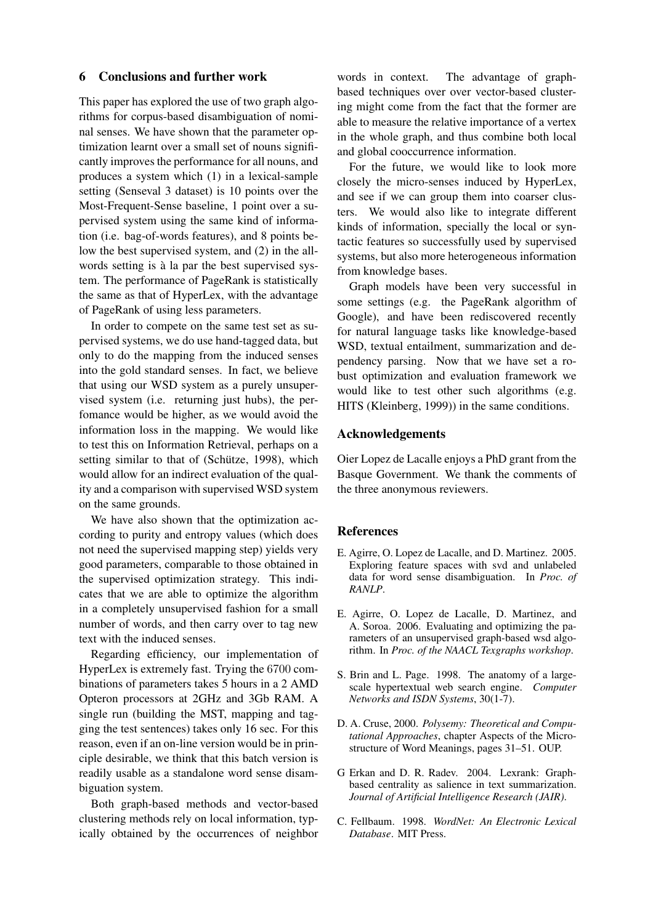## **6 Conclusions and further work**

This paper has explored the use of two graph algorithms for corpus-based disambiguation of nominal senses. We have shown that the parameter optimization learnt over a small set of nouns significantly improves the performance for all nouns, and produces a system which (1) in a lexical-sample setting (Senseval 3 dataset) is 10 points over the Most-Frequent-Sense baseline, 1 point over a supervised system using the same kind of information (i.e. bag-of-words features), and 8 points below the best supervised system, and (2) in the allwords setting is à la par the best supervised system. The performance of PageRank is statistically the same as that of HyperLex, with the advantage of PageRank of using less parameters.

In order to compete on the same test set as supervised systems, we do use hand-tagged data, but only to do the mapping from the induced senses into the gold standard senses. In fact, we believe that using our WSD system as a purely unsupervised system (i.e. returning just hubs), the perfomance would be higher, as we would avoid the information loss in the mapping. We would like to test this on Information Retrieval, perhaps on a setting similar to that of (Schütze, 1998), which would allow for an indirect evaluation of the quality and a comparison with supervised WSD system on the same grounds.

We have also shown that the optimization according to purity and entropy values (which does not need the supervised mapping step) yields very good parameters, comparable to those obtained in the supervised optimization strategy. This indicates that we are able to optimize the algorithm in a completely unsupervised fashion for a small number of words, and then carry over to tag new text with the induced senses.

Regarding efficiency, our implementation of HyperLex is extremely fast. Trying the 6700 combinations of parameters takes 5 hours in a 2 AMD Opteron processors at 2GHz and 3Gb RAM. A single run (building the MST, mapping and tagging the test sentences) takes only 16 sec. For this reason, even if an on-line version would be in principle desirable, we think that this batch version is readily usable as a standalone word sense disambiguation system.

Both graph-based methods and vector-based clustering methods rely on local information, typically obtained by the occurrences of neighbor words in context. The advantage of graphbased techniques over over vector-based clustering might come from the fact that the former are able to measure the relative importance of a vertex in the whole graph, and thus combine both local and global cooccurrence information.

For the future, we would like to look more closely the micro-senses induced by HyperLex, and see if we can group them into coarser clusters. We would also like to integrate different kinds of information, specially the local or syntactic features so successfully used by supervised systems, but also more heterogeneous information from knowledge bases.

Graph models have been very successful in some settings (e.g. the PageRank algorithm of Google), and have been rediscovered recently for natural language tasks like knowledge-based WSD, textual entailment, summarization and dependency parsing. Now that we have set a robust optimization and evaluation framework we would like to test other such algorithms (e.g. HITS (Kleinberg, 1999)) in the same conditions.

## **Acknowledgements**

Oier Lopez de Lacalle enjoys a PhD grant from the Basque Government. We thank the comments of the three anonymous reviewers.

#### **References**

- E. Agirre, O. Lopez de Lacalle, and D. Martinez. 2005. Exploring feature spaces with svd and unlabeled data for word sense disambiguation. In *Proc. of RANLP*.
- E. Agirre, O. Lopez de Lacalle, D. Martinez, and A. Soroa. 2006. Evaluating and optimizing the parameters of an unsupervised graph-based wsd algorithm. In *Proc. of the NAACL Texgraphs workshop*.
- S. Brin and L. Page. 1998. The anatomy of a largescale hypertextual web search engine. *Computer Networks and ISDN Systems*, 30(1-7).
- D. A. Cruse, 2000. *Polysemy: Theoretical and Computational Approaches*, chapter Aspects of the Microstructure of Word Meanings, pages 31–51. OUP.
- G Erkan and D. R. Radev. 2004. Lexrank: Graphbased centrality as salience in text summarization. *Journal of Artificial Intelligence Research (JAIR)*.
- C. Fellbaum. 1998. *WordNet: An Electronic Lexical Database*. MIT Press.